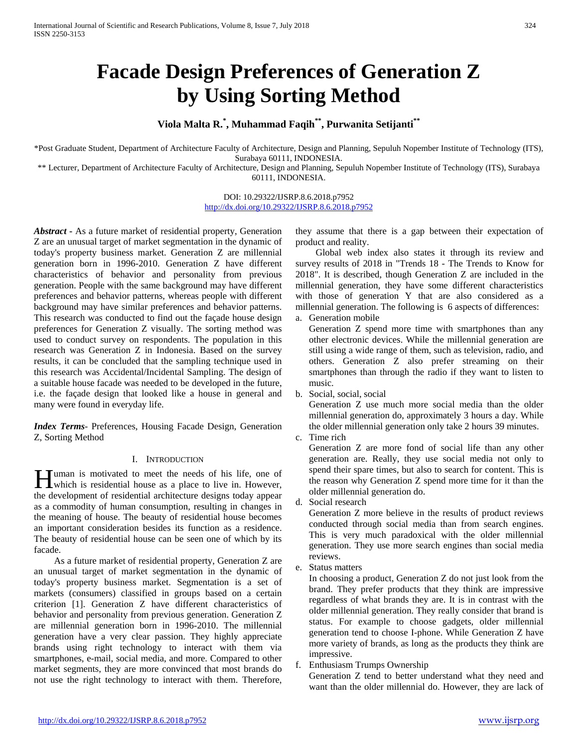# **Facade Design Preferences of Generation Z by Using Sorting Method**

## **Viola Malta R.\* , Muhammad Faqih\*\*, Purwanita Setijanti\*\***

\*Post Graduate Student, Department of Architecture Faculty of Architecture, Design and Planning, Sepuluh Nopember Institute of Technology (ITS), Surabaya 60111, INDONESIA.

\*\* Lecturer, Department of Architecture Faculty of Architecture, Design and Planning, Sepuluh Nopember Institute of Technology (ITS), Surabaya 60111, INDONESIA.

## DOI: 10.29322/IJSRP.8.6.2018.p7952 <http://dx.doi.org/10.29322/IJSRP.8.6.2018.p7952>

*Abstract* **-** As a future market of residential property, Generation Z are an unusual target of market segmentation in the dynamic of today's property business market. Generation Z are millennial generation born in 1996-2010. Generation Z have different characteristics of behavior and personality from previous generation. People with the same background may have different preferences and behavior patterns, whereas people with different background may have similar preferences and behavior patterns. This research was conducted to find out the façade house design preferences for Generation Z visually. The sorting method was used to conduct survey on respondents. The population in this research was Generation Z in Indonesia. Based on the survey results, it can be concluded that the sampling technique used in this research was Accidental/Incidental Sampling. The design of a suitable house facade was needed to be developed in the future, i.e. the façade design that looked like a house in general and many were found in everyday life.

*Index Terms*- Preferences, Housing Facade Design, Generation Z, Sorting Method

## I. INTRODUCTION

uman is motivated to meet the needs of his life, one of **H**uman is motivated to meet the needs of his life, one of which is residential house as a place to live in. However, the development of residential architecture designs today appear as a commodity of human consumption, resulting in changes in the meaning of house. The beauty of residential house becomes an important consideration besides its function as a residence. The beauty of residential house can be seen one of which by its facade.

As a future market of residential property, Generation Z are an unusual target of market segmentation in the dynamic of today's property business market. Segmentation is a set of markets (consumers) classified in groups based on a certain criterion [1]. Generation Z have different characteristics of behavior and personality from previous generation. Generation Z are millennial generation born in 1996-2010. The millennial generation have a very clear passion. They highly appreciate brands using right technology to interact with them via smartphones, e-mail, social media, and more. Compared to other market segments, they are more convinced that most brands do not use the right technology to interact with them. Therefore, they assume that there is a gap between their expectation of product and reality.

Global web index also states it through its review and survey results of 2018 in "Trends 18 - The Trends to Know for 2018". It is described, though Generation Z are included in the millennial generation, they have some different characteristics with those of generation Y that are also considered as a millennial generation. The following is 6 aspects of differences:

a. Generation mobile

Generation Z spend more time with smartphones than any other electronic devices. While the millennial generation are still using a wide range of them, such as television, radio, and others. Generation Z also prefer streaming on their smartphones than through the radio if they want to listen to music.

b. Social, social, social

Generation Z use much more social media than the older millennial generation do, approximately 3 hours a day. While the older millennial generation only take 2 hours 39 minutes.

c. Time rich

Generation Z are more fond of social life than any other generation are. Really, they use social media not only to spend their spare times, but also to search for content. This is the reason why Generation Z spend more time for it than the older millennial generation do.

d. Social research

Generation Z more believe in the results of product reviews conducted through social media than from search engines. This is very much paradoxical with the older millennial generation. They use more search engines than social media reviews.

e. Status matters

In choosing a product, Generation Z do not just look from the brand. They prefer products that they think are impressive regardless of what brands they are. It is in contrast with the older millennial generation. They really consider that brand is status. For example to choose gadgets, older millennial generation tend to choose I-phone. While Generation Z have more variety of brands, as long as the products they think are impressive.

## f. Enthusiasm Trumps Ownership

Generation Z tend to better understand what they need and want than the older millennial do. However, they are lack of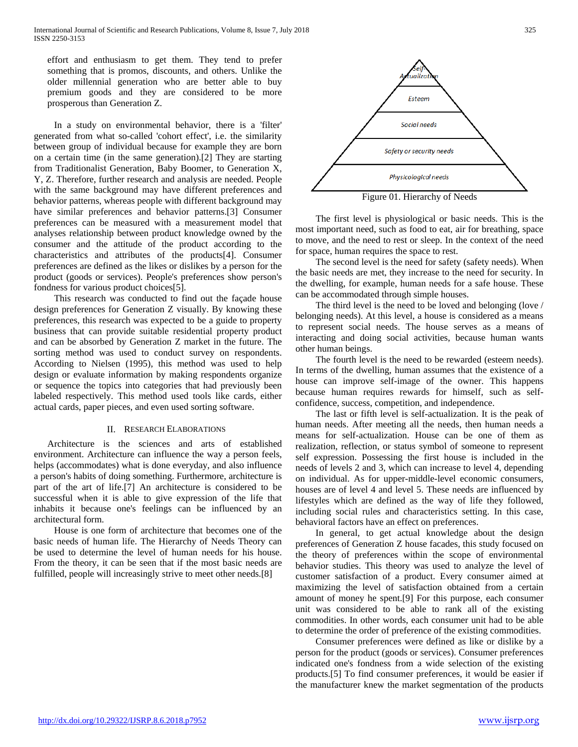effort and enthusiasm to get them. They tend to prefer something that is promos, discounts, and others. Unlike the older millennial generation who are better able to buy premium goods and they are considered to be more prosperous than Generation Z.

In a study on environmental behavior, there is a 'filter' generated from what so-called 'cohort effect', i.e. the similarity between group of individual because for example they are born on a certain time (in the same generation).[2] They are starting from Traditionalist Generation, Baby Boomer, to Generation X, Y, Z. Therefore, further research and analysis are needed. People with the same background may have different preferences and behavior patterns, whereas people with different background may have similar preferences and behavior patterns.[3] Consumer preferences can be measured with a measurement model that analyses relationship between product knowledge owned by the consumer and the attitude of the product according to the characteristics and attributes of the products[4]. Consumer preferences are defined as the likes or dislikes by a person for the product (goods or services). People's preferences show person's fondness for various product choices[5].

This research was conducted to find out the façade house design preferences for Generation Z visually. By knowing these preferences, this research was expected to be a guide to property business that can provide suitable residential property product and can be absorbed by Generation Z market in the future. The sorting method was used to conduct survey on respondents. According to Nielsen (1995), this method was used to help design or evaluate information by making respondents organize or sequence the topics into categories that had previously been labeled respectively. This method used tools like cards, either actual cards, paper pieces, and even used sorting software.

### II. RESEARCH ELABORATIONS

Architecture is the sciences and arts of established environment. Architecture can influence the way a person feels, helps (accommodates) what is done everyday, and also influence a person's habits of doing something. Furthermore, architecture is part of the art of life.[7] An architecture is considered to be successful when it is able to give expression of the life that inhabits it because one's feelings can be influenced by an architectural form.

House is one form of architecture that becomes one of the basic needs of human life. The Hierarchy of Needs Theory can be used to determine the level of human needs for his house. From the theory, it can be seen that if the most basic needs are fulfilled, people will increasingly strive to meet other needs.[8]



The first level is physiological or basic needs. This is the most important need, such as food to eat, air for breathing, space to move, and the need to rest or sleep. In the context of the need for space, human requires the space to rest.

The second level is the need for safety (safety needs). When the basic needs are met, they increase to the need for security. In the dwelling, for example, human needs for a safe house. These can be accommodated through simple houses.

The third level is the need to be loved and belonging (love / belonging needs). At this level, a house is considered as a means to represent social needs. The house serves as a means of interacting and doing social activities, because human wants other human beings.

The fourth level is the need to be rewarded (esteem needs). In terms of the dwelling, human assumes that the existence of a house can improve self-image of the owner. This happens because human requires rewards for himself, such as selfconfidence, success, competition, and independence.

The last or fifth level is self-actualization. It is the peak of human needs. After meeting all the needs, then human needs a means for self-actualization. House can be one of them as realization, reflection, or status symbol of someone to represent self expression. Possessing the first house is included in the needs of levels 2 and 3, which can increase to level 4, depending on individual. As for upper-middle-level economic consumers, houses are of level 4 and level 5. These needs are influenced by lifestyles which are defined as the way of life they followed, including social rules and characteristics setting. In this case, behavioral factors have an effect on preferences.

In general, to get actual knowledge about the design preferences of Generation Z house facades, this study focused on the theory of preferences within the scope of environmental behavior studies. This theory was used to analyze the level of customer satisfaction of a product. Every consumer aimed at maximizing the level of satisfaction obtained from a certain amount of money he spent.[9] For this purpose, each consumer unit was considered to be able to rank all of the existing commodities. In other words, each consumer unit had to be able to determine the order of preference of the existing commodities.

Consumer preferences were defined as like or dislike by a person for the product (goods or services). Consumer preferences indicated one's fondness from a wide selection of the existing products.[5] To find consumer preferences, it would be easier if the manufacturer knew the market segmentation of the products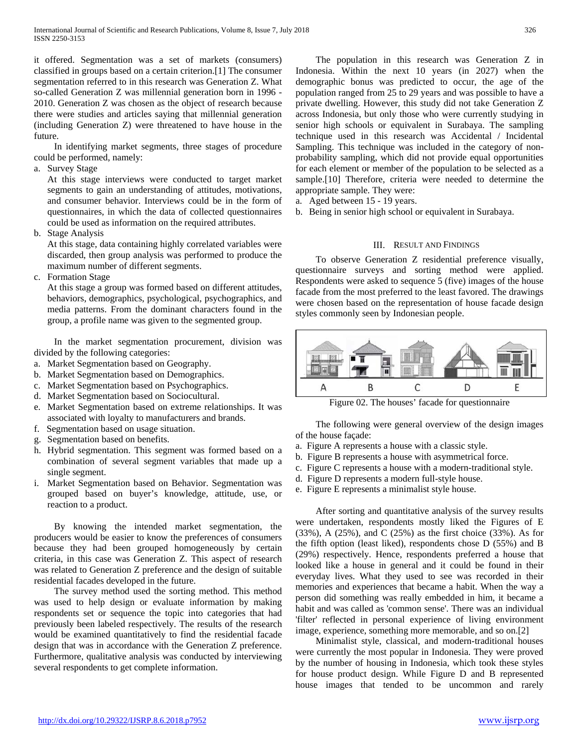it offered. Segmentation was a set of markets (consumers) classified in groups based on a certain criterion.[1] The consumer segmentation referred to in this research was Generation Z. What so-called Generation Z was millennial generation born in 1996 - 2010. Generation Z was chosen as the object of research because there were studies and articles saying that millennial generation (including Generation Z) were threatened to have house in the future.

In identifying market segments, three stages of procedure could be performed, namely:

a. Survey Stage

At this stage interviews were conducted to target market segments to gain an understanding of attitudes, motivations, and consumer behavior. Interviews could be in the form of questionnaires, in which the data of collected questionnaires could be used as information on the required attributes.

b. Stage Analysis

At this stage, data containing highly correlated variables were discarded, then group analysis was performed to produce the maximum number of different segments.

c. Formation Stage

At this stage a group was formed based on different attitudes, behaviors, demographics, psychological, psychographics, and media patterns. From the dominant characters found in the group, a profile name was given to the segmented group.

In the market segmentation procurement, division was divided by the following categories:

- a. Market Segmentation based on Geography.
- b. Market Segmentation based on Demographics.
- c. Market Segmentation based on Psychographics.
- d. Market Segmentation based on Sociocultural.
- e. Market Segmentation based on extreme relationships. It was associated with loyalty to manufacturers and brands.
- f. Segmentation based on usage situation.
- g. Segmentation based on benefits.
- h. Hybrid segmentation. This segment was formed based on a combination of several segment variables that made up a single segment.
- i. Market Segmentation based on Behavior. Segmentation was grouped based on buyer's knowledge, attitude, use, or reaction to a product.

By knowing the intended market segmentation, the producers would be easier to know the preferences of consumers because they had been grouped homogeneously by certain criteria, in this case was Generation Z. This aspect of research was related to Generation Z preference and the design of suitable residential facades developed in the future.

The survey method used the sorting method. This method was used to help design or evaluate information by making respondents set or sequence the topic into categories that had previously been labeled respectively. The results of the research would be examined quantitatively to find the residential facade design that was in accordance with the Generation Z preference. Furthermore, qualitative analysis was conducted by interviewing several respondents to get complete information.

The population in this research was Generation Z in Indonesia. Within the next 10 years (in 2027) when the demographic bonus was predicted to occur, the age of the population ranged from 25 to 29 years and was possible to have a private dwelling. However, this study did not take Generation Z across Indonesia, but only those who were currently studying in senior high schools or equivalent in Surabaya. The sampling technique used in this research was Accidental / Incidental Sampling. This technique was included in the category of nonprobability sampling, which did not provide equal opportunities for each element or member of the population to be selected as a sample.[10] Therefore, criteria were needed to determine the appropriate sample. They were:

- a. Aged between 15 19 years.
- b. Being in senior high school or equivalent in Surabaya.

## III. RESULT AND FINDINGS

To observe Generation Z residential preference visually, questionnaire surveys and sorting method were applied. Respondents were asked to sequence 5 (five) images of the house facade from the most preferred to the least favored. The drawings were chosen based on the representation of house facade design styles commonly seen by Indonesian people.



Figure 02. The houses' facade for questionnaire

The following were general overview of the design images of the house façade:

- a. Figure A represents a house with a classic style.
- b. Figure B represents a house with asymmetrical force.
- c. Figure C represents a house with a modern-traditional style.
- d. Figure D represents a modern full-style house.
- e. Figure E represents a minimalist style house.

After sorting and quantitative analysis of the survey results were undertaken, respondents mostly liked the Figures of E (33%), A (25%), and C (25%) as the first choice (33%). As for the fifth option (least liked), respondents chose D (55%) and B (29%) respectively. Hence, respondents preferred a house that looked like a house in general and it could be found in their everyday lives. What they used to see was recorded in their memories and experiences that became a habit. When the way a person did something was really embedded in him, it became a habit and was called as 'common sense'. There was an individual 'filter' reflected in personal experience of living environment image, experience, something more memorable, and so on.[2]

Minimalist style, classical, and modern-traditional houses were currently the most popular in Indonesia. They were proved by the number of housing in Indonesia, which took these styles for house product design. While Figure D and B represented house images that tended to be uncommon and rarely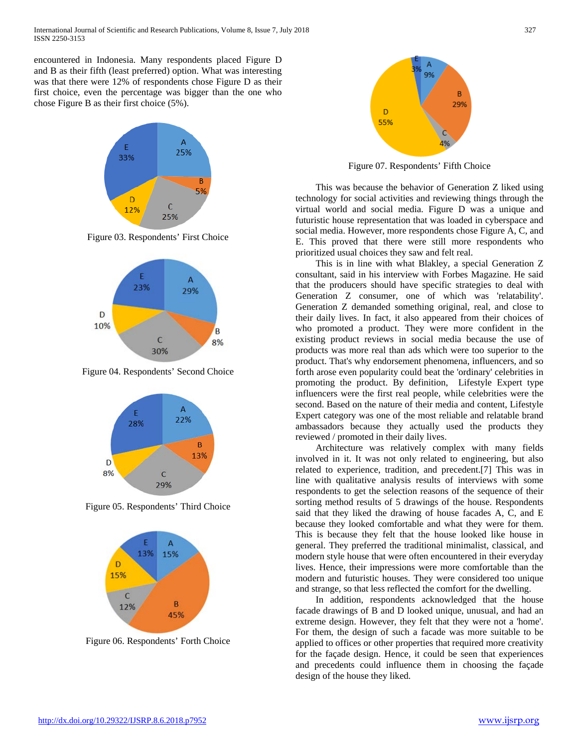encountered in Indonesia. Many respondents placed Figure D and B as their fifth (least preferred) option. What was interesting was that there were 12% of respondents chose Figure D as their first choice, even the percentage was bigger than the one who chose Figure B as their first choice (5%).



Figure 03. Respondents' First Choice



Figure 04. Respondents' Second Choice



Figure 05. Respondents' Third Choice



Figure 06. Respondents' Forth Choice



Figure 07. Respondents' Fifth Choice

This was because the behavior of Generation Z liked using technology for social activities and reviewing things through the virtual world and social media. Figure D was a unique and futuristic house representation that was loaded in cyberspace and social media. However, more respondents chose Figure A, C, and E. This proved that there were still more respondents who prioritized usual choices they saw and felt real.

This is in line with what Blakley, a special Generation Z consultant, said in his interview with Forbes Magazine. He said that the producers should have specific strategies to deal with Generation Z consumer, one of which was 'relatability'. Generation Z demanded something original, real, and close to their daily lives. In fact, it also appeared from their choices of who promoted a product. They were more confident in the existing product reviews in social media because the use of products was more real than ads which were too superior to the product. That's why endorsement phenomena, influencers, and so forth arose even popularity could beat the 'ordinary' celebrities in promoting the product. By definition, Lifestyle Expert type influencers were the first real people, while celebrities were the second. Based on the nature of their media and content, Lifestyle Expert category was one of the most reliable and relatable brand ambassadors because they actually used the products they reviewed / promoted in their daily lives.

Architecture was relatively complex with many fields involved in it. It was not only related to engineering, but also related to experience, tradition, and precedent.[7] This was in line with qualitative analysis results of interviews with some respondents to get the selection reasons of the sequence of their sorting method results of 5 drawings of the house. Respondents said that they liked the drawing of house facades A, C, and E because they looked comfortable and what they were for them. This is because they felt that the house looked like house in general. They preferred the traditional minimalist, classical, and modern style house that were often encountered in their everyday lives. Hence, their impressions were more comfortable than the modern and futuristic houses. They were considered too unique and strange, so that less reflected the comfort for the dwelling.

In addition, respondents acknowledged that the house facade drawings of B and D looked unique, unusual, and had an extreme design. However, they felt that they were not a 'home'. For them, the design of such a facade was more suitable to be applied to offices or other properties that required more creativity for the façade design. Hence, it could be seen that experiences and precedents could influence them in choosing the façade design of the house they liked.